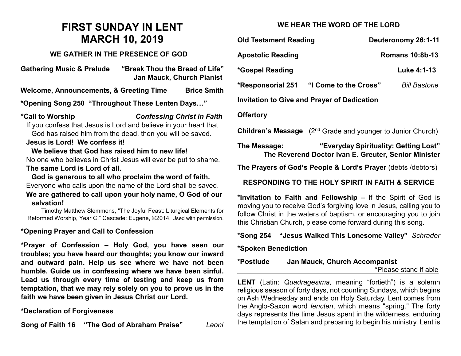# **FIRST SUNDAY IN LENT MARCH 10, 2019**

#### **WE GATHER IN THE PRESENCE OF GOD**

**Gathering Music & Prelude "Break Thou the Bread of Life" Jan Mauck, Church Pianist**

**Welcome, Announcements, & Greeting Time Brice Smith**

**\*Opening Song 250 "Throughout These Lenten Days…"**

**\*Call to Worship** *Confessing Christ in Faith* If you confess that Jesus is Lord and believe in your heart that God has raised him from the dead, then you will be saved.

#### **Jesus is Lord! We confess it!**

**We believe that God has raised him to new life!** No one who believes in Christ Jesus will ever be put to shame. **The same Lord is Lord of all.** 

**God is generous to all who proclaim the word of faith.** Everyone who calls upon the name of the Lord shall be saved. **We are gathered to call upon your holy name, O God of our salvation!**

Timothy Matthew Slemmons, "The Joyful Feast: Liturgical Elements for Reformed Worship, Year C," Cascade: Eugene, ©2014. Used with permission.

## **\*Opening Prayer and Call to Confession**

**\*Prayer of Confession – Holy God, you have seen our troubles; you have heard our thoughts; you know our inward and outward pain. Help us see where we have not been humble. Guide us in confessing where we have been sinful. Lead us through every time of testing and keep us from temptation, that we may rely solely on you to prove us in the faith we have been given in Jesus Christ our Lord.** 

## **\*Declaration of Forgiveness**

**Song of Faith 16 "The God of Abraham Praise"** *Leoni*

# **WE HEAR THE WORD OF THE LORD**

| <b>Old Testament Reading</b>                       | Deuteronomy 26:1-11                          |
|----------------------------------------------------|----------------------------------------------|
| <b>Apostolic Reading</b>                           | <b>Romans 10:8b-13</b>                       |
| *Gospel Reading                                    | Luke 4:1-13                                  |
| <b>*Responsorial 251</b>                           | "I Come to the Cross"<br><b>Bill Bastone</b> |
| <b>Invitation to Give and Prayer of Dedication</b> |                                              |
| <b>Offertory</b>                                   |                                              |

**Children's Message** (2<sup>nd</sup> Grade and younger to Junior Church)

**The Message: "Everyday Spirituality: Getting Lost" The Reverend Doctor Ivan E. Greuter, Senior Minister**

**The Prayers of God's People & Lord's Prayer** (debts /debtors)

**RESPONDING TO THE HOLY SPIRIT IN FAITH & SERVICE**

**\*Invitation to Faith and Fellowship –** If the Spirit of God is moving you to receive God's forgiving love in Jesus, calling you to follow Christ in the waters of baptism, or encouraging you to join this Christian Church, please come forward during this song.

**\*Song 254 "Jesus Walked This Lonesome Valley"** *Schrader*

#### **\*Spoken Benediction**

**\*Postlude Jan Mauck, Church Accompanist**

\*Please stand if able

**LENT** (Latin: *Quadragesima,* meaning "fortieth") is a solemn religious season of forty days, not counting Sundays, which begins on Ash Wednesday and ends on Holy Saturday. Lent comes from the Anglo-Saxon word *lencten*, which means "spring." The forty days represents the time Jesus spent in the wilderness, enduring the temptation of Satan and preparing to begin his ministry. Lent is